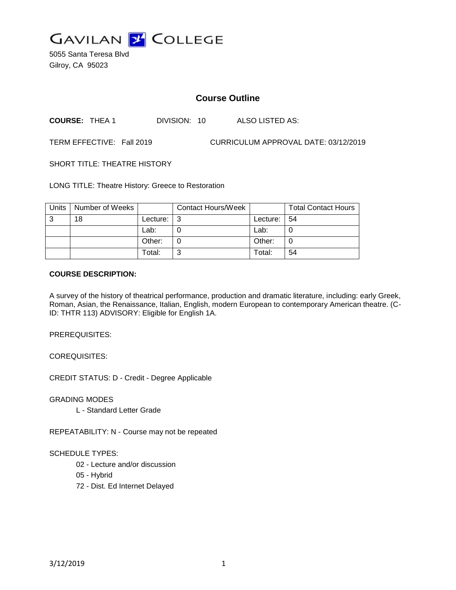

5055 Santa Teresa Blvd Gilroy, CA 95023

# **Course Outline**

**COURSE:** THEA 1 DIVISION: 10 ALSO LISTED AS:

TERM EFFECTIVE: Fall 2019 CURRICULUM APPROVAL DATE: 03/12/2019

SHORT TITLE: THEATRE HISTORY

LONG TITLE: Theatre History: Greece to Restoration

| <b>Units</b> | Number of Weeks |          | <b>Contact Hours/Week</b> |          | <b>Total Contact Hours</b> |
|--------------|-----------------|----------|---------------------------|----------|----------------------------|
| 3            | 18              | Lecture: | l 3                       | Lecture: | l 54                       |
|              |                 | Lab:     |                           | Lab:     |                            |
|              |                 | Other:   |                           | Other:   |                            |
|              |                 | Total:   | ⌒                         | Total:   | 54                         |

#### **COURSE DESCRIPTION:**

A survey of the history of theatrical performance, production and dramatic literature, including: early Greek, Roman, Asian, the Renaissance, Italian, English, modern European to contemporary American theatre. (C-ID: THTR 113) ADVISORY: Eligible for English 1A.

PREREQUISITES:

COREQUISITES:

CREDIT STATUS: D - Credit - Degree Applicable

GRADING MODES

L - Standard Letter Grade

REPEATABILITY: N - Course may not be repeated

#### SCHEDULE TYPES:

- 02 Lecture and/or discussion
- 05 Hybrid
- 72 Dist. Ed Internet Delayed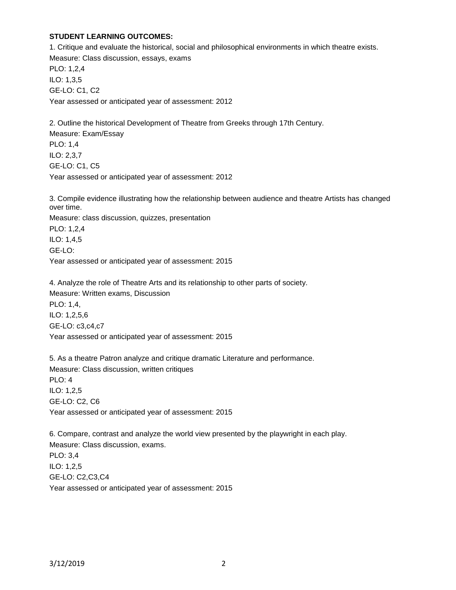## **STUDENT LEARNING OUTCOMES:**

1. Critique and evaluate the historical, social and philosophical environments in which theatre exists. Measure: Class discussion, essays, exams PLO: 1,2,4 ILO: 1,3,5 GE-LO: C1, C2 Year assessed or anticipated year of assessment: 2012

2. Outline the historical Development of Theatre from Greeks through 17th Century. Measure: Exam/Essay PLO: 1,4 ILO: 2,3,7 GE-LO: C1, C5 Year assessed or anticipated year of assessment: 2012

3. Compile evidence illustrating how the relationship between audience and theatre Artists has changed over time.

Measure: class discussion, quizzes, presentation

PLO: 1,2,4 ILO: 1,4,5

GE-LO:

Year assessed or anticipated year of assessment: 2015

4. Analyze the role of Theatre Arts and its relationship to other parts of society. Measure: Written exams, Discussion PLO: 1,4, ILO: 1,2,5,6 GE-LO: c3,c4,c7 Year assessed or anticipated year of assessment: 2015

5. As a theatre Patron analyze and critique dramatic Literature and performance. Measure: Class discussion, written critiques PLO: 4 ILO: 1,2,5 GE-LO: C2, C6 Year assessed or anticipated year of assessment: 2015

6. Compare, contrast and analyze the world view presented by the playwright in each play. Measure: Class discussion, exams. PLO: 3,4 ILO: 1,2,5 GE-LO: C2,C3,C4 Year assessed or anticipated year of assessment: 2015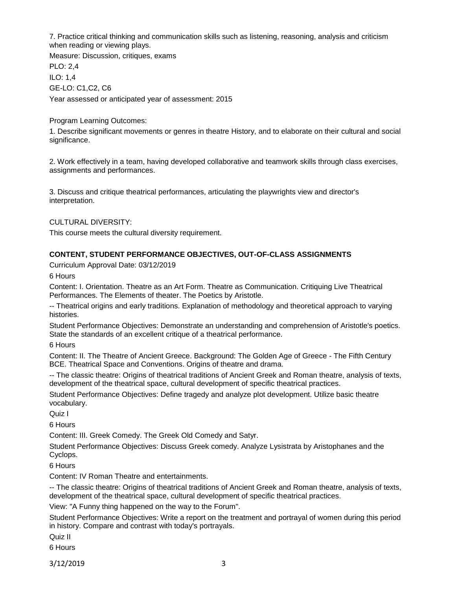7. Practice critical thinking and communication skills such as listening, reasoning, analysis and criticism when reading or viewing plays.

Measure: Discussion, critiques, exams PLO: 2,4 ILO: 1,4 GE-LO: C1,C2, C6 Year assessed or anticipated year of assessment: 2015

Program Learning Outcomes:

1. Describe significant movements or genres in theatre History, and to elaborate on their cultural and social significance.

2. Work effectively in a team, having developed collaborative and teamwork skills through class exercises, assignments and performances.

3. Discuss and critique theatrical performances, articulating the playwrights view and director's interpretation.

CULTURAL DIVERSITY:

This course meets the cultural diversity requirement.

# **CONTENT, STUDENT PERFORMANCE OBJECTIVES, OUT-OF-CLASS ASSIGNMENTS**

Curriculum Approval Date: 03/12/2019

6 Hours

Content: I. Orientation. Theatre as an Art Form. Theatre as Communication. Critiquing Live Theatrical Performances. The Elements of theater. The Poetics by Aristotle.

-- Theatrical origins and early traditions. Explanation of methodology and theoretical approach to varying histories.

Student Performance Objectives: Demonstrate an understanding and comprehension of Aristotle's poetics. State the standards of an excellent critique of a theatrical performance.

6 Hours

Content: II. The Theatre of Ancient Greece. Background: The Golden Age of Greece - The Fifth Century BCE. Theatrical Space and Conventions. Origins of theatre and drama.

-- The classic theatre: Origins of theatrical traditions of Ancient Greek and Roman theatre, analysis of texts, development of the theatrical space, cultural development of specific theatrical practices.

Student Performance Objectives: Define tragedy and analyze plot development. Utilize basic theatre vocabulary.

Quiz I

6 Hours

Content: III. Greek Comedy. The Greek Old Comedy and Satyr.

Student Performance Objectives: Discuss Greek comedy. Analyze Lysistrata by Aristophanes and the Cyclops.

6 Hours

Content: IV Roman Theatre and entertainments.

-- The classic theatre: Origins of theatrical traditions of Ancient Greek and Roman theatre, analysis of texts, development of the theatrical space, cultural development of specific theatrical practices.

View: "A Funny thing happened on the way to the Forum".

Student Performance Objectives: Write a report on the treatment and portrayal of women during this period in history. Compare and contrast with today's portrayals.

Quiz II

6 Hours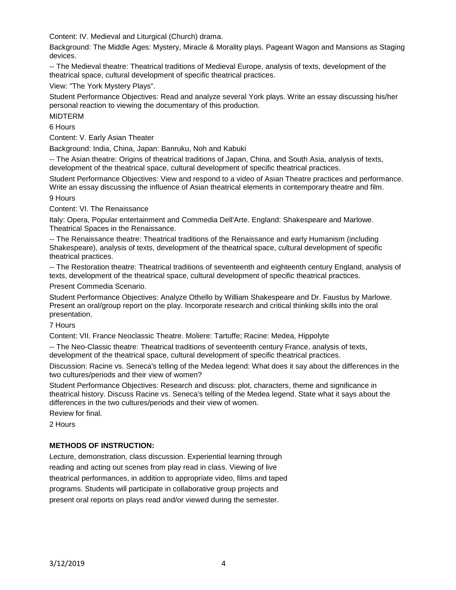Content: IV. Medieval and Liturgical (Church) drama.

Background: The Middle Ages: Mystery, Miracle & Morality plays. Pageant Wagon and Mansions as Staging devices.

-- The Medieval theatre: Theatrical traditions of Medieval Europe, analysis of texts, development of the theatrical space, cultural development of specific theatrical practices.

View: "The York Mystery Plays".

Student Performance Objectives: Read and analyze several York plays. Write an essay discussing his/her personal reaction to viewing the documentary of this production.

MIDTERM

6 Hours

Content: V. Early Asian Theater

Background: India, China, Japan: Banruku, Noh and Kabuki

-- The Asian theatre: Origins of theatrical traditions of Japan, China, and South Asia, analysis of texts, development of the theatrical space, cultural development of specific theatrical practices.

Student Performance Objectives: View and respond to a video of Asian Theatre practices and performance. Write an essay discussing the influence of Asian theatrical elements in contemporary theatre and film. 9 Hours

Content: VI. The Renaissance

Italy: Opera, Popular entertainment and Commedia Dell'Arte. England: Shakespeare and Marlowe. Theatrical Spaces in the Renaissance.

-- The Renaissance theatre: Theatrical traditions of the Renaissance and early Humanism (including Shakespeare), analysis of texts, development of the theatrical space, cultural development of specific theatrical practices.

-- The Restoration theatre: Theatrical traditions of seventeenth and eighteenth century England, analysis of texts, development of the theatrical space, cultural development of specific theatrical practices.

Present Commedia Scenario.

Student Performance Objectives: Analyze Othello by William Shakespeare and Dr. Faustus by Marlowe. Present an oral/group report on the play. Incorporate research and critical thinking skills into the oral presentation.

7 Hours

Content: VII. France Neoclassic Theatre. Moliere: Tartuffe; Racine: Medea, Hippolyte

-- The Neo-Classic theatre: Theatrical traditions of seventeenth century France, analysis of texts, development of the theatrical space, cultural development of specific theatrical practices.

Discussion: Racine vs. Seneca's telling of the Medea legend: What does it say about the differences in the two cultures/periods and their view of women?

Student Performance Objectives: Research and discuss: plot, characters, theme and significance in theatrical history. Discuss Racine vs. Seneca's telling of the Medea legend. State what it says about the differences in the two cultures/periods and their view of women.

Review for final.

2 Hours

### **METHODS OF INSTRUCTION:**

Lecture, demonstration, class discussion. Experiential learning through reading and acting out scenes from play read in class. Viewing of live theatrical performances, in addition to appropriate video, films and taped programs. Students will participate in collaborative group projects and present oral reports on plays read and/or viewed during the semester.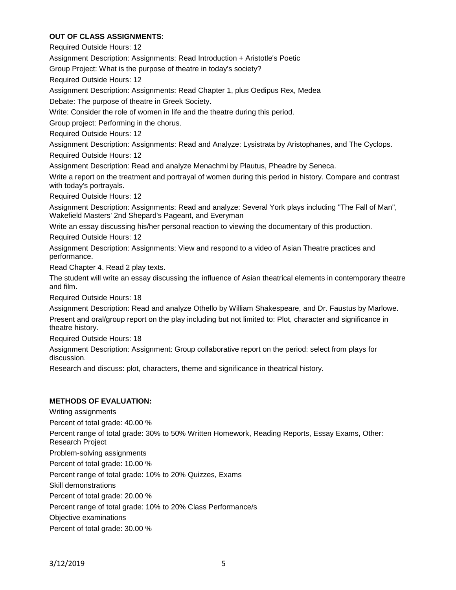## **OUT OF CLASS ASSIGNMENTS:**

Required Outside Hours: 12

Assignment Description: Assignments: Read Introduction + Aristotle's Poetic

Group Project: What is the purpose of theatre in today's society?

Required Outside Hours: 12

Assignment Description: Assignments: Read Chapter 1, plus Oedipus Rex, Medea

Debate: The purpose of theatre in Greek Society.

Write: Consider the role of women in life and the theatre during this period.

Group project: Performing in the chorus.

Required Outside Hours: 12

Assignment Description: Assignments: Read and Analyze: Lysistrata by Aristophanes, and The Cyclops.

Required Outside Hours: 12

Assignment Description: Read and analyze Menachmi by Plautus, Pheadre by Seneca.

Write a report on the treatment and portrayal of women during this period in history. Compare and contrast with today's portrayals.

Required Outside Hours: 12

Assignment Description: Assignments: Read and analyze: Several York plays including "The Fall of Man", Wakefield Masters' 2nd Shepard's Pageant, and Everyman

Write an essay discussing his/her personal reaction to viewing the documentary of this production.

Required Outside Hours: 12

Assignment Description: Assignments: View and respond to a video of Asian Theatre practices and performance.

Read Chapter 4. Read 2 play texts.

The student will write an essay discussing the influence of Asian theatrical elements in contemporary theatre and film.

Required Outside Hours: 18

Assignment Description: Read and analyze Othello by William Shakespeare, and Dr. Faustus by Marlowe.

Present and oral/group report on the play including but not limited to: Plot, character and significance in theatre history.

Required Outside Hours: 18

Assignment Description: Assignment: Group collaborative report on the period: select from plays for discussion.

Research and discuss: plot, characters, theme and significance in theatrical history.

### **METHODS OF EVALUATION:**

Writing assignments Percent of total grade: 40.00 % Percent range of total grade: 30% to 50% Written Homework, Reading Reports, Essay Exams, Other: Research Project Problem-solving assignments Percent of total grade: 10.00 % Percent range of total grade: 10% to 20% Quizzes, Exams Skill demonstrations Percent of total grade: 20.00 % Percent range of total grade: 10% to 20% Class Performance/s Objective examinations Percent of total grade: 30.00 %